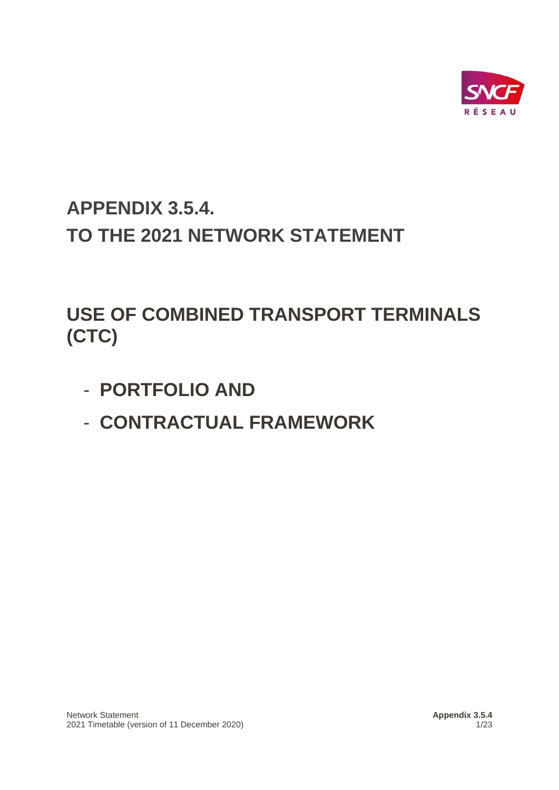

# **APPENDIX 3.5.4. TO THE 2021 NETWORK STATEMENT**

# **USE OF COMBINED TRANSPORT TERMINALS (CTC)**

- **PORTFOLIO AND**
- **CONTRACTUAL FRAMEWORK**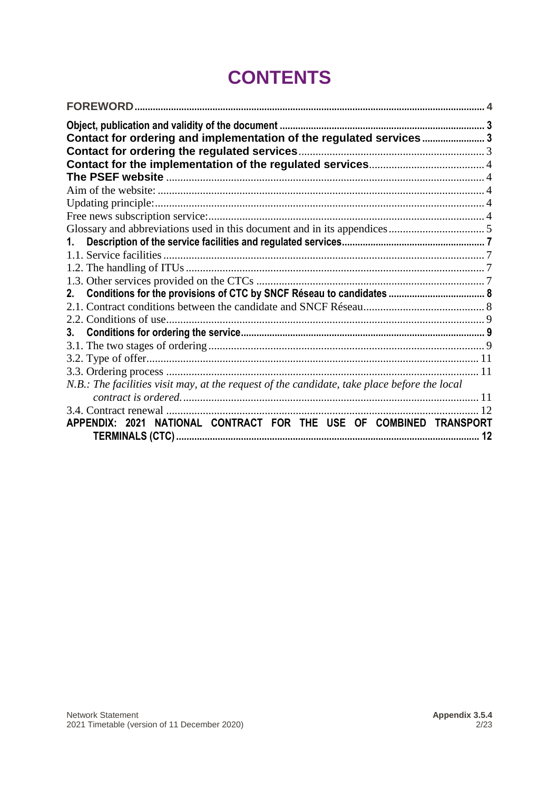# **CONTENTS**

| Contact for ordering and implementation of the regulated services 3                          |  |
|----------------------------------------------------------------------------------------------|--|
|                                                                                              |  |
|                                                                                              |  |
|                                                                                              |  |
|                                                                                              |  |
|                                                                                              |  |
|                                                                                              |  |
|                                                                                              |  |
|                                                                                              |  |
|                                                                                              |  |
|                                                                                              |  |
|                                                                                              |  |
| 2.                                                                                           |  |
|                                                                                              |  |
|                                                                                              |  |
| 3.                                                                                           |  |
|                                                                                              |  |
|                                                                                              |  |
|                                                                                              |  |
| N.B.: The facilities visit may, at the request of the candidate, take place before the local |  |
|                                                                                              |  |
|                                                                                              |  |
| APPENDIX: 2021 NATIONAL CONTRACT FOR THE USE OF COMBINED TRANSPORT                           |  |
|                                                                                              |  |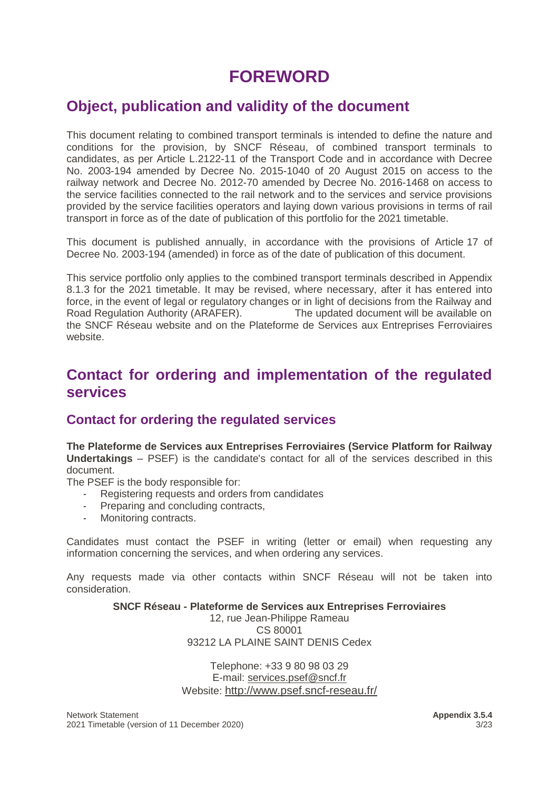# **FOREWORD**

## <span id="page-2-0"></span>**Object, publication and validity of the document**

This document relating to combined transport terminals is intended to define the nature and conditions for the provision, by SNCF Réseau, of combined transport terminals to candidates, as per Article L.2122-11 of the Transport Code and in accordance with Decree No. 2003-194 amended by Decree No. 2015-1040 of 20 August 2015 on access to the railway network and Decree No. 2012-70 amended by Decree No. 2016-1468 on access to the service facilities connected to the rail network and to the services and service provisions provided by the service facilities operators and laying down various provisions in terms of rail transport in force as of the date of publication of this portfolio for the 2021 timetable.

This document is published annually, in accordance with the provisions of Article 17 of Decree No. 2003-194 (amended) in force as of the date of publication of this document.

This service portfolio only applies to the combined transport terminals described in Appendix 8.1.3 for the 2021 timetable. It may be revised, where necessary, after it has entered into force, in the event of legal or regulatory changes or in light of decisions from the Railway and Road Regulation Authority (ARAFER). The updated document will be available on the SNCF Réseau website and on the Plateforme de Services aux Entreprises Ferroviaires website.

## <span id="page-2-1"></span>**Contact for ordering and implementation of the regulated services**

## <span id="page-2-2"></span>**Contact for ordering the regulated services**

**The Plateforme de Services aux Entreprises Ferroviaires (Service Platform for Railway Undertakings** – PSEF) is the candidate's contact for all of the services described in this document.

The PSEF is the body responsible for:

- Registering requests and orders from candidates
- Preparing and concluding contracts,
- Monitoring contracts.

Candidates must contact the PSEF in writing (letter or email) when requesting any information concerning the services, and when ordering any services.

Any requests made via other contacts within SNCF Réseau will not be taken into consideration.

**SNCF Réseau - Plateforme de Services aux Entreprises Ferroviaires**

12, rue Jean-Philippe Rameau CS 80001 93212 LA PLAINE SAINT DENIS Cedex

Telephone: +33 9 80 98 03 29 E-mail: [services.psef@sncf.fr](mailto:services.psef@sncf.fr) Website: <http://www.psef.sncf-reseau.fr/>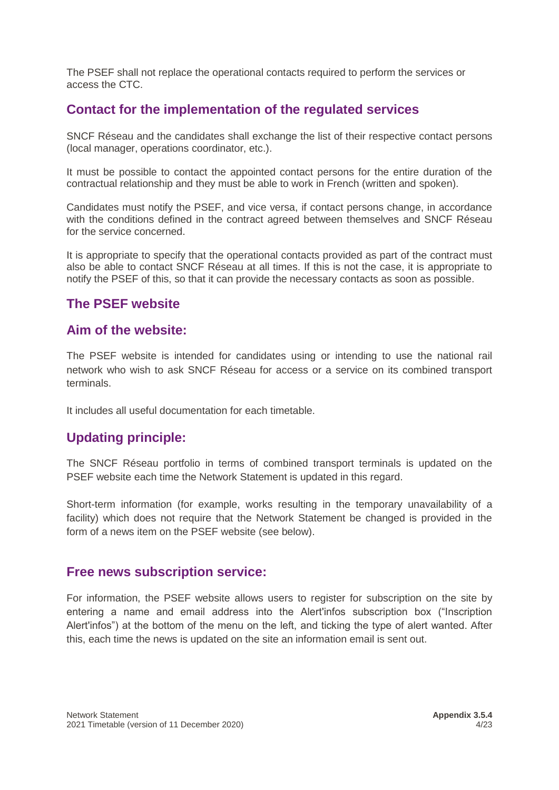The PSEF shall not replace the operational contacts required to perform the services or access the CTC.

## <span id="page-3-0"></span>**Contact for the implementation of the regulated services**

SNCF Réseau and the candidates shall exchange the list of their respective contact persons (local manager, operations coordinator, etc.).

It must be possible to contact the appointed contact persons for the entire duration of the contractual relationship and they must be able to work in French (written and spoken).

Candidates must notify the PSEF, and vice versa, if contact persons change, in accordance with the conditions defined in the contract agreed between themselves and SNCF Réseau for the service concerned.

It is appropriate to specify that the operational contacts provided as part of the contract must also be able to contact SNCF Réseau at all times. If this is not the case, it is appropriate to notify the PSEF of this, so that it can provide the necessary contacts as soon as possible.

## <span id="page-3-1"></span>**The PSEF website**

### <span id="page-3-2"></span>**Aim of the website:**

The PSEF website is intended for candidates using or intending to use the national rail network who wish to ask SNCF Réseau for access or a service on its combined transport terminals.

It includes all useful documentation for each timetable.

## <span id="page-3-3"></span>**Updating principle:**

The SNCF Réseau portfolio in terms of combined transport terminals is updated on the PSEF website each time the Network Statement is updated in this regard.

Short-term information (for example, works resulting in the temporary unavailability of a facility) which does not require that the Network Statement be changed is provided in the form of a news item on the PSEF website (see below).

### <span id="page-3-4"></span>**Free news subscription service:**

For information, the PSEF website allows users to register for subscription on the site by entering a name and email address into the Alert'infos subscription box ("Inscription Alert'infos") at the bottom of the menu on the left, and ticking the type of alert wanted. After this, each time the news is updated on the site an information email is sent out.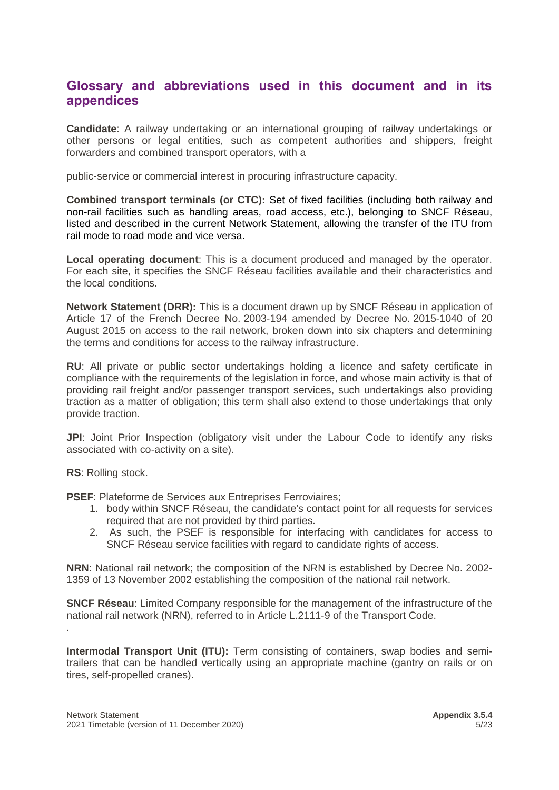## <span id="page-4-0"></span>**Glossary and abbreviations used in this document and in its appendices**

**Candidate**: A railway undertaking or an international grouping of railway undertakings or other persons or legal entities, such as competent authorities and shippers, freight forwarders and combined transport operators, with a

public-service or commercial interest in procuring infrastructure capacity.

**Combined transport terminals (or CTC):** Set of fixed facilities (including both railway and non-rail facilities such as handling areas, road access, etc.), belonging to SNCF Réseau, listed and described in the current Network Statement, allowing the transfer of the ITU from rail mode to road mode and vice versa.

**Local operating document**: This is a document produced and managed by the operator. For each site, it specifies the SNCF Réseau facilities available and their characteristics and the local conditions.

**Network Statement (DRR):** This is a document drawn up by SNCF Réseau in application of Article 17 of the French Decree No. 2003-194 amended by Decree No. 2015-1040 of 20 August 2015 on access to the rail network, broken down into six chapters and determining the terms and conditions for access to the railway infrastructure.

**RU**: All private or public sector undertakings holding a licence and safety certificate in compliance with the requirements of the legislation in force, and whose main activity is that of providing rail freight and/or passenger transport services, such undertakings also providing traction as a matter of obligation; this term shall also extend to those undertakings that only provide traction.

**JPI:** Joint Prior Inspection (obligatory visit under the Labour Code to identify any risks associated with co-activity on a site).

**RS**: Rolling stock.

**PSEF**: Plateforme de Services aux Entreprises Ferroviaires;

- 1. body within SNCF Réseau, the candidate's contact point for all requests for services required that are not provided by third parties.
- 2. As such, the PSEF is responsible for interfacing with candidates for access to SNCF Réseau service facilities with regard to candidate rights of access.

**NRN**: National rail network; the composition of the NRN is established by Decree No. 2002- 1359 of 13 November 2002 establishing the composition of the national rail network.

**SNCF Réseau**: Limited Company responsible for the management of the infrastructure of the national rail network (NRN), referred to in Article L.2111-9 of the Transport Code. .

**Intermodal Transport Unit (ITU):** Term consisting of containers, swap bodies and semitrailers that can be handled vertically using an appropriate machine (gantry on rails or on tires, self-propelled cranes).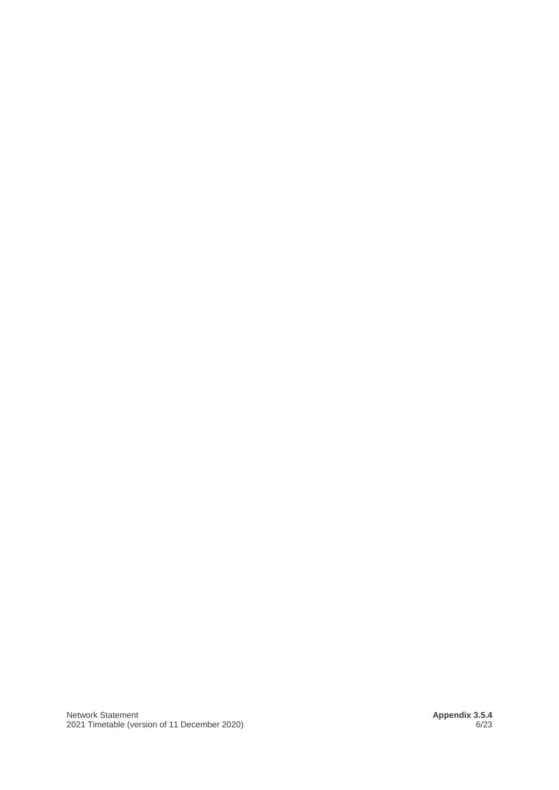Network Statement **Appendix 3.5.4 Appendix 3.5.4** 2021 Timetable (version of 11 December 2020)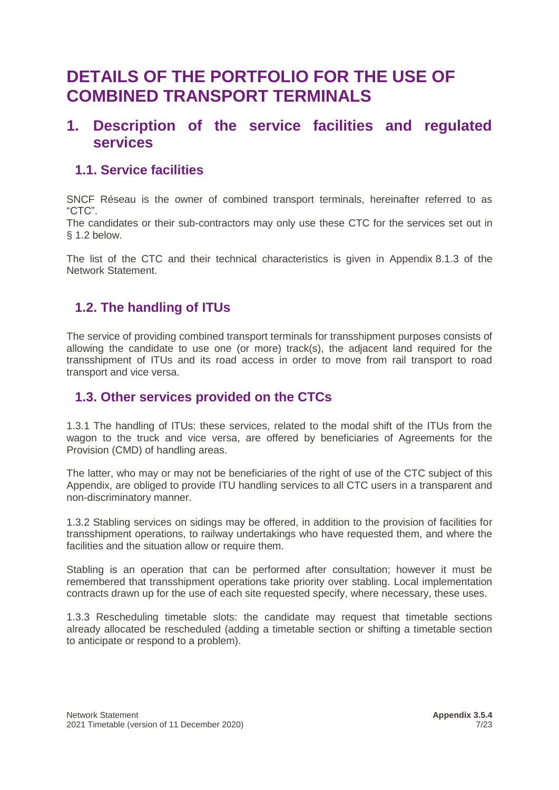# **DETAILS OF THE PORTFOLIO FOR THE USE OF COMBINED TRANSPORT TERMINALS**

## <span id="page-6-0"></span>**1. Description of the service facilities and regulated services**

## <span id="page-6-1"></span>**1.1. Service facilities**

SNCF Réseau is the owner of combined transport terminals, hereinafter referred to as "CTC".

The candidates or their sub-contractors may only use these CTC for the services set out in § 1.2 below.

The list of the CTC and their technical characteristics is given in Appendix 8.1.3 of the Network Statement.

## <span id="page-6-2"></span>**1.2. The handling of ITUs**

The service of providing combined transport terminals for transshipment purposes consists of allowing the candidate to use one (or more) track(s), the adjacent land required for the transshipment of ITUs and its road access in order to move from rail transport to road transport and vice versa.

### <span id="page-6-3"></span>**1.3. Other services provided on the CTCs**

1.3.1 The handling of ITUs: these services, related to the modal shift of the ITUs from the wagon to the truck and vice versa, are offered by beneficiaries of Agreements for the Provision (CMD) of handling areas.

The latter, who may or may not be beneficiaries of the right of use of the CTC subject of this Appendix, are obliged to provide ITU handling services to all CTC users in a transparent and non-discriminatory manner.

1.3.2 Stabling services on sidings may be offered, in addition to the provision of facilities for transshipment operations, to railway undertakings who have requested them, and where the facilities and the situation allow or require them.

Stabling is an operation that can be performed after consultation; however it must be remembered that transshipment operations take priority over stabling. Local implementation contracts drawn up for the use of each site requested specify, where necessary, these uses.

1.3.3 Rescheduling timetable slots: the candidate may request that timetable sections already allocated be rescheduled (adding a timetable section or shifting a timetable section to anticipate or respond to a problem).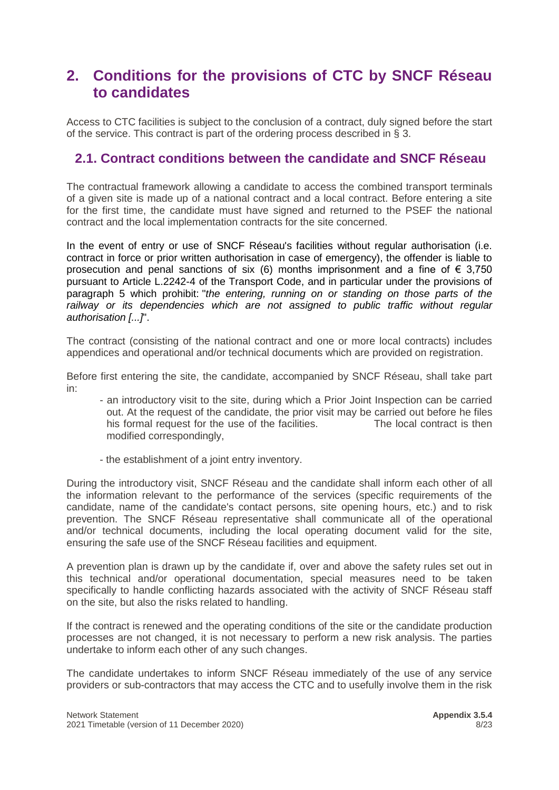## <span id="page-7-0"></span>**2. Conditions for the provisions of CTC by SNCF Réseau to candidates**

Access to CTC facilities is subject to the conclusion of a contract, duly signed before the start of the service. This contract is part of the ordering process described in § 3.

## <span id="page-7-1"></span>**2.1. Contract conditions between the candidate and SNCF Réseau**

The contractual framework allowing a candidate to access the combined transport terminals of a given site is made up of a national contract and a local contract. Before entering a site for the first time, the candidate must have signed and returned to the PSEF the national contract and the local implementation contracts for the site concerned.

In the event of entry or use of SNCF Réseau's facilities without regular authorisation (i.e. contract in force or prior written authorisation in case of emergency), the offender is liable to prosecution and penal sanctions of six (6) months imprisonment and a fine of  $\epsilon$  3,750 pursuant to Article L.2242-4 of the Transport Code, and in particular under the provisions of paragraph 5 which prohibit: "*the entering, running on or standing on those parts of the*  railway or its dependencies which are not assigned to public traffic without regular *authorisation [...]*".

The contract (consisting of the national contract and one or more local contracts) includes appendices and operational and/or technical documents which are provided on registration.

Before first entering the site, the candidate, accompanied by SNCF Réseau, shall take part in:

- an introductory visit to the site, during which a Prior Joint Inspection can be carried out. At the request of the candidate, the prior visit may be carried out before he files his formal request for the use of the facilities. The local contract is then modified correspondingly,
- the establishment of a joint entry inventory.

During the introductory visit, SNCF Réseau and the candidate shall inform each other of all the information relevant to the performance of the services (specific requirements of the candidate, name of the candidate's contact persons, site opening hours, etc.) and to risk prevention. The SNCF Réseau representative shall communicate all of the operational and/or technical documents, including the local operating document valid for the site, ensuring the safe use of the SNCF Réseau facilities and equipment.

A prevention plan is drawn up by the candidate if, over and above the safety rules set out in this technical and/or operational documentation, special measures need to be taken specifically to handle conflicting hazards associated with the activity of SNCF Réseau staff on the site, but also the risks related to handling.

If the contract is renewed and the operating conditions of the site or the candidate production processes are not changed, it is not necessary to perform a new risk analysis. The parties undertake to inform each other of any such changes.

The candidate undertakes to inform SNCF Réseau immediately of the use of any service providers or sub-contractors that may access the CTC and to usefully involve them in the risk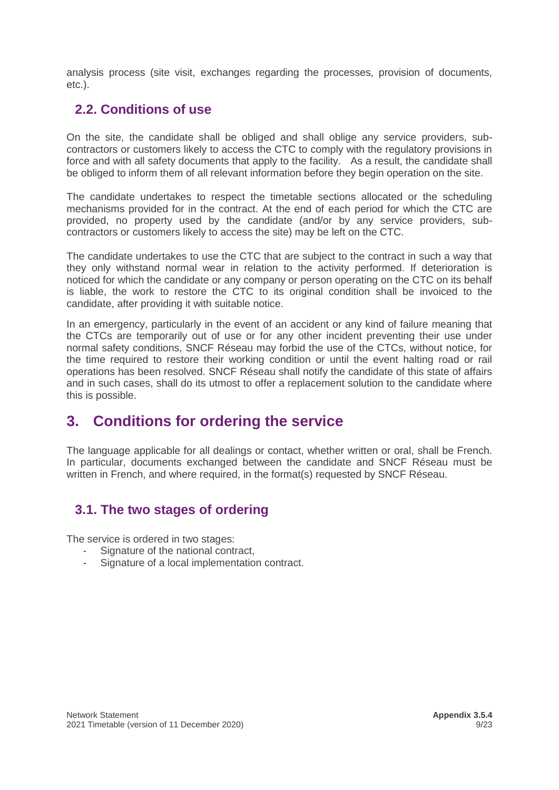analysis process (site visit, exchanges regarding the processes, provision of documents, etc.).

## <span id="page-8-0"></span>**2.2. Conditions of use**

On the site, the candidate shall be obliged and shall oblige any service providers, subcontractors or customers likely to access the CTC to comply with the regulatory provisions in force and with all safety documents that apply to the facility. As a result, the candidate shall be obliged to inform them of all relevant information before they begin operation on the site.

The candidate undertakes to respect the timetable sections allocated or the scheduling mechanisms provided for in the contract. At the end of each period for which the CTC are provided, no property used by the candidate (and/or by any service providers, subcontractors or customers likely to access the site) may be left on the CTC.

The candidate undertakes to use the CTC that are subject to the contract in such a way that they only withstand normal wear in relation to the activity performed. If deterioration is noticed for which the candidate or any company or person operating on the CTC on its behalf is liable, the work to restore the CTC to its original condition shall be invoiced to the candidate, after providing it with suitable notice.

In an emergency, particularly in the event of an accident or any kind of failure meaning that the CTCs are temporarily out of use or for any other incident preventing their use under normal safety conditions, SNCF Réseau may forbid the use of the CTCs, without notice, for the time required to restore their working condition or until the event halting road or rail operations has been resolved. SNCF Réseau shall notify the candidate of this state of affairs and in such cases, shall do its utmost to offer a replacement solution to the candidate where this is possible.

## <span id="page-8-1"></span>**3. Conditions for ordering the service**

The language applicable for all dealings or contact, whether written or oral, shall be French. In particular, documents exchanged between the candidate and SNCF Réseau must be written in French, and where required, in the format(s) requested by SNCF Réseau.

## <span id="page-8-2"></span>**3.1. The two stages of ordering**

The service is ordered in two stages:

- Signature of the national contract.
- Signature of a local implementation contract.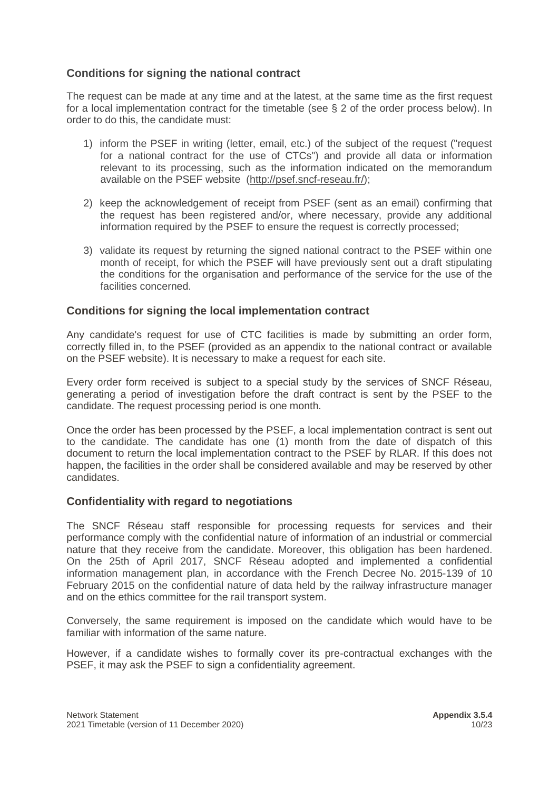### **Conditions for signing the national contract**

The request can be made at any time and at the latest, at the same time as the first request for a local implementation contract for the timetable (see  $\S 2$  of the order process below). In order to do this, the candidate must:

- 1) inform the PSEF in writing (letter, email, etc.) of the subject of the request ("request for a national contract for the use of CTCs") and provide all data or information relevant to its processing, such as the information indicated on the memorandum available on the PSEF website [\(http://psef.sncf-reseau.fr/\)](http://psef.sncf-reseau.fr/);
- 2) keep the acknowledgement of receipt from PSEF (sent as an email) confirming that the request has been registered and/or, where necessary, provide any additional information required by the PSEF to ensure the request is correctly processed;
- 3) validate its request by returning the signed national contract to the PSEF within one month of receipt, for which the PSEF will have previously sent out a draft stipulating the conditions for the organisation and performance of the service for the use of the facilities concerned.

### **Conditions for signing the local implementation contract**

Any candidate's request for use of CTC facilities is made by submitting an order form, correctly filled in, to the PSEF (provided as an appendix to the national contract or available on the PSEF website). It is necessary to make a request for each site.

Every order form received is subject to a special study by the services of SNCF Réseau, generating a period of investigation before the draft contract is sent by the PSEF to the candidate. The request processing period is one month.

Once the order has been processed by the PSEF, a local implementation contract is sent out to the candidate. The candidate has one (1) month from the date of dispatch of this document to return the local implementation contract to the PSEF by RLAR. If this does not happen, the facilities in the order shall be considered available and may be reserved by other candidates.

### **Confidentiality with regard to negotiations**

The SNCF Réseau staff responsible for processing requests for services and their performance comply with the confidential nature of information of an industrial or commercial nature that they receive from the candidate. Moreover, this obligation has been hardened. On the 25th of April 2017, SNCF Réseau adopted and implemented a confidential information management plan, in accordance with the French Decree No. 2015-139 of 10 February 2015 on the confidential nature of data held by the railway infrastructure manager and on the ethics committee for the rail transport system.

Conversely, the same requirement is imposed on the candidate which would have to be familiar with information of the same nature.

However, if a candidate wishes to formally cover its pre-contractual exchanges with the PSEF, it may ask the PSEF to sign a confidentiality agreement.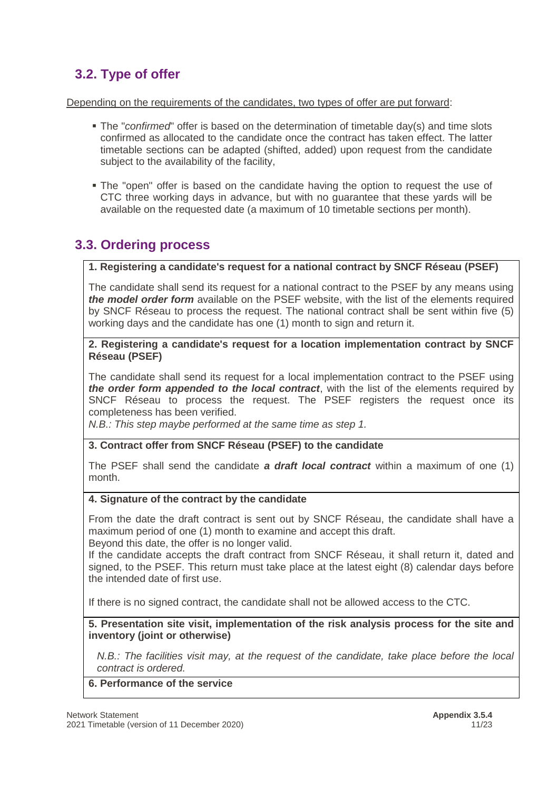## <span id="page-10-0"></span>**3.2. Type of offer**

Depending on the requirements of the candidates, two types of offer are put forward:

- The "*confirmed*" offer is based on the determination of timetable day(s) and time slots confirmed as allocated to the candidate once the contract has taken effect. The latter timetable sections can be adapted (shifted, added) upon request from the candidate subject to the availability of the facility,
- The "open" offer is based on the candidate having the option to request the use of CTC three working days in advance, but with no guarantee that these yards will be available on the requested date (a maximum of 10 timetable sections per month).

## <span id="page-10-1"></span>**3.3. Ordering process**

### **1. Registering a candidate's request for a national contract by SNCF Réseau (PSEF)**

The candidate shall send its request for a national contract to the PSEF by any means using *the model order form* available on the PSEF website, with the list of the elements required by SNCF Réseau to process the request. The national contract shall be sent within five (5) working days and the candidate has one (1) month to sign and return it.

**2. Registering a candidate's request for a location implementation contract by SNCF Réseau (PSEF)**

The candidate shall send its request for a local implementation contract to the PSEF using *the order form appended to the local contract*, with the list of the elements required by SNCF Réseau to process the request. The PSEF registers the request once its completeness has been verified.

*N.B.: This step maybe performed at the same time as step 1.*

### **3. Contract offer from SNCF Réseau (PSEF) to the candidate**

The PSEF shall send the candidate *a draft local contract* within a maximum of one (1) month.

### **4. Signature of the contract by the candidate**

From the date the draft contract is sent out by SNCF Réseau, the candidate shall have a maximum period of one (1) month to examine and accept this draft.

Beyond this date, the offer is no longer valid.

If the candidate accepts the draft contract from SNCF Réseau, it shall return it, dated and signed, to the PSEF. This return must take place at the latest eight (8) calendar days before the intended date of first use.

If there is no signed contract, the candidate shall not be allowed access to the CTC.

**5. Presentation site visit, implementation of the risk analysis process for the site and inventory (joint or otherwise)**

<span id="page-10-2"></span>*N.B.: The facilities visit may, at the request of the candidate, take place before the local contract is ordered.*

**6. Performance of the service**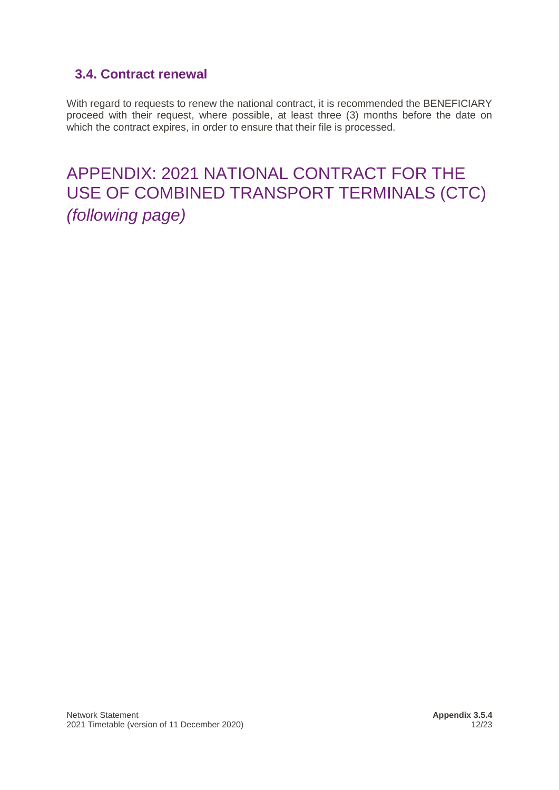## <span id="page-11-0"></span>**3.4. Contract renewal**

With regard to requests to renew the national contract, it is recommended the BENEFICIARY proceed with their request, where possible, at least three (3) months before the date on which the contract expires, in order to ensure that their file is processed.

<span id="page-11-1"></span>APPENDIX: 2021 NATIONAL CONTRACT FOR THE USE OF COMBINED TRANSPORT TERMINALS (CTC) *(following page)*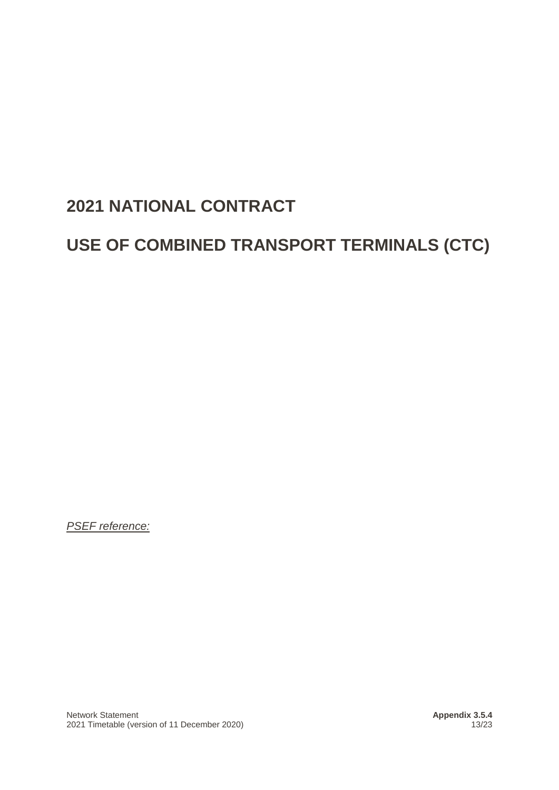# **2021 NATIONAL CONTRACT**

# **USE OF COMBINED TRANSPORT TERMINALS (CTC)**

*PSEF reference:*

Network Statement **Appendix 3.5.4**<br>2021 Timetable (version of 11 December 2020) 13/23 2021 Timetable (version of 11 December 2020)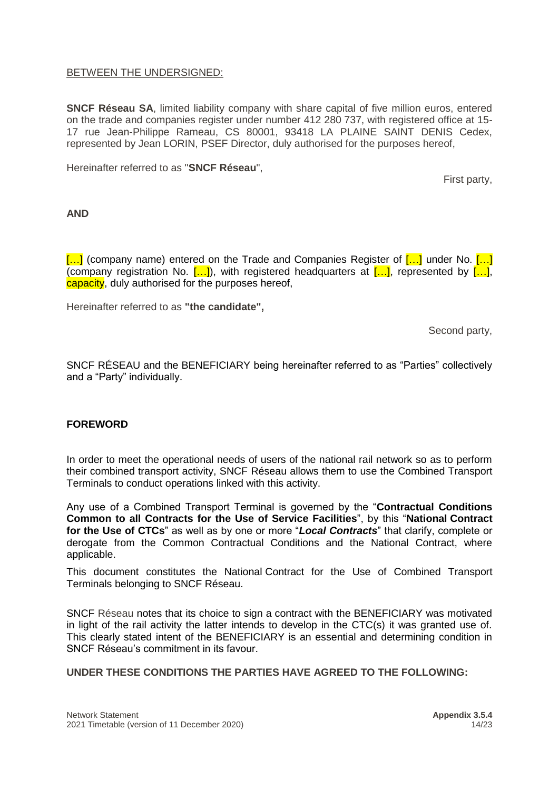### BETWEEN THE UNDERSIGNED:

**SNCF Réseau SA**, limited liability company with share capital of five million euros, entered on the trade and companies register under number 412 280 737, with registered office at 15- 17 rue Jean-Philippe Rameau, CS 80001, 93418 LA PLAINE SAINT DENIS Cedex, represented by Jean LORIN, PSEF Director, duly authorised for the purposes hereof,

Hereinafter referred to as "**SNCF Réseau**",

First party,

**AND**

 $\left[\ldots\right]$  (company name) entered on the Trade and Companies Register of  $\left[\ldots\right]$  under No.  $\left[\ldots\right]$ (company registration No.  $[...]$ ), with registered headquarters at  $[...]$ , represented by  $[...]$ , capacity, duly authorised for the purposes hereof,

Hereinafter referred to as **"the candidate",**

Second party,

SNCF RÉSEAU and the BENEFICIARY being hereinafter referred to as "Parties" collectively and a "Party" individually.

### **FOREWORD**

In order to meet the operational needs of users of the national rail network so as to perform their combined transport activity, SNCF Réseau allows them to use the Combined Transport Terminals to conduct operations linked with this activity.

Any use of a Combined Transport Terminal is governed by the "**Contractual Conditions Common to all Contracts for the Use of Service Facilities**", by this "**National Contract for the Use of CTCs**" as well as by one or more "*Local Contracts*" that clarify, complete or derogate from the Common Contractual Conditions and the National Contract, where applicable.

This document constitutes the National Contract for the Use of Combined Transport Terminals belonging to SNCF Réseau.

SNCF Réseau notes that its choice to sign a contract with the BENEFICIARY was motivated in light of the rail activity the latter intends to develop in the CTC(s) it was granted use of. This clearly stated intent of the BENEFICIARY is an essential and determining condition in SNCF Réseau's commitment in its favour.

**UNDER THESE CONDITIONS THE PARTIES HAVE AGREED TO THE FOLLOWING:**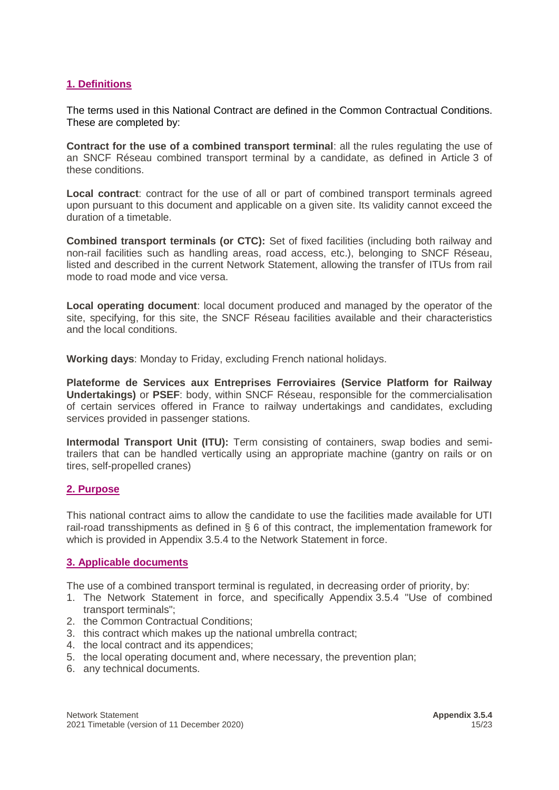### **1. Definitions**

The terms used in this National Contract are defined in the Common Contractual Conditions. These are completed by:

**Contract for the use of a combined transport terminal**: all the rules regulating the use of an SNCF Réseau combined transport terminal by a candidate, as defined in Article 3 of these conditions.

**Local contract**: contract for the use of all or part of combined transport terminals agreed upon pursuant to this document and applicable on a given site. Its validity cannot exceed the duration of a timetable.

**Combined transport terminals (or CTC):** Set of fixed facilities (including both railway and non-rail facilities such as handling areas, road access, etc.), belonging to SNCF Réseau, listed and described in the current Network Statement, allowing the transfer of ITUs from rail mode to road mode and vice versa.

**Local operating document**: local document produced and managed by the operator of the site, specifying, for this site, the SNCF Réseau facilities available and their characteristics and the local conditions.

**Working days**: Monday to Friday, excluding French national holidays.

**Plateforme de Services aux Entreprises Ferroviaires (Service Platform for Railway Undertakings)** or **PSEF**: body, within SNCF Réseau, responsible for the commercialisation of certain services offered in France to railway undertakings and candidates, excluding services provided in passenger stations.

**Intermodal Transport Unit (ITU):** Term consisting of containers, swap bodies and semitrailers that can be handled vertically using an appropriate machine (gantry on rails or on tires, self-propelled cranes)

### **2. Purpose**

This national contract aims to allow the candidate to use the facilities made available for UTI rail-road transshipments as defined in § 6 of this contract, the implementation framework for which is provided in Appendix 3.5.4 to the Network Statement in force.

### **3. Applicable documents**

The use of a combined transport terminal is regulated, in decreasing order of priority, by:

- 1. The Network Statement in force, and specifically Appendix 3.5.4 "Use of combined transport terminals";
- 2. the Common Contractual Conditions;
- 3. this contract which makes up the national umbrella contract;
- 4. the local contract and its appendices;
- 5. the local operating document and, where necessary, the prevention plan;
- 6. any technical documents.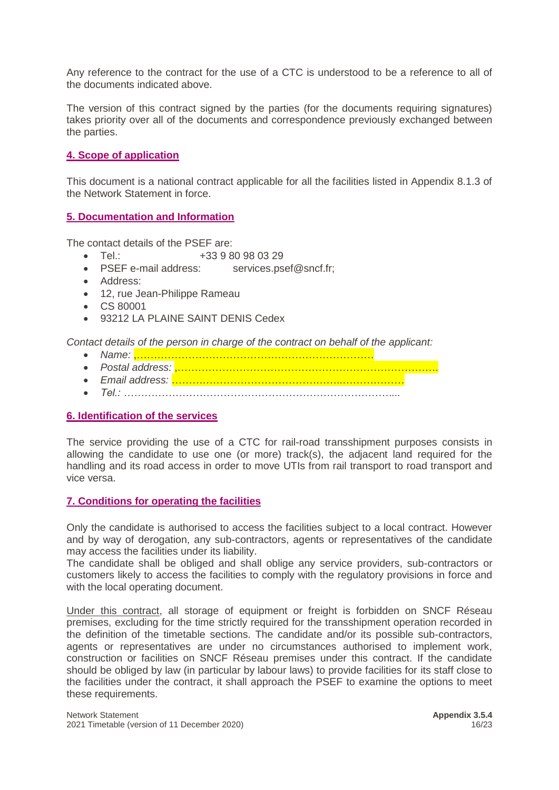Any reference to the contract for the use of a CTC is understood to be a reference to all of the documents indicated above.

The version of this contract signed by the parties (for the documents requiring signatures) takes priority over all of the documents and correspondence previously exchanged between the parties.

### **4. Scope of application**

This document is a national contract applicable for all the facilities listed in Appendix 8.1.3 of the Network Statement in force.

### **5. Documentation and Information**

The contact details of the PSEF are:

- Tel.:  $+33980980329$
- PSEF e-mail address: [services.psef@sncf.fr;](mailto:services.psef@sncf.fr)
- Address:
- 12, rue Jean-Philippe Rameau
- CS 80001
- 93212 LA PLAINE SAINT DENIS Cedex

*Contact details of the person in charge of the contract on behalf of the applicant:*

- *Name:* ,……………………………………………………………
- *Postal address:* ,………………………………………………………………….
- *Email address:* …………………………………………..………………
- *Tel.: ……………………………………………………………………...*

### **6. Identification of the services**

The service providing the use of a CTC for rail-road transshipment purposes consists in allowing the candidate to use one (or more) track(s), the adjacent land required for the handling and its road access in order to move UTIs from rail transport to road transport and vice versa.

### **7. Conditions for operating the facilities**

Only the candidate is authorised to access the facilities subject to a local contract. However and by way of derogation, any sub-contractors, agents or representatives of the candidate may access the facilities under its liability.

The candidate shall be obliged and shall oblige any service providers, sub-contractors or customers likely to access the facilities to comply with the regulatory provisions in force and with the local operating document.

Under this contract, all storage of equipment or freight is forbidden on SNCF Réseau premises, excluding for the time strictly required for the transshipment operation recorded in the definition of the timetable sections. The candidate and/or its possible sub-contractors, agents or representatives are under no circumstances authorised to implement work, construction or facilities on SNCF Réseau premises under this contract. If the candidate should be obliged by law (in particular by labour laws) to provide facilities for its staff close to the facilities under the contract, it shall approach the PSEF to examine the options to meet these requirements.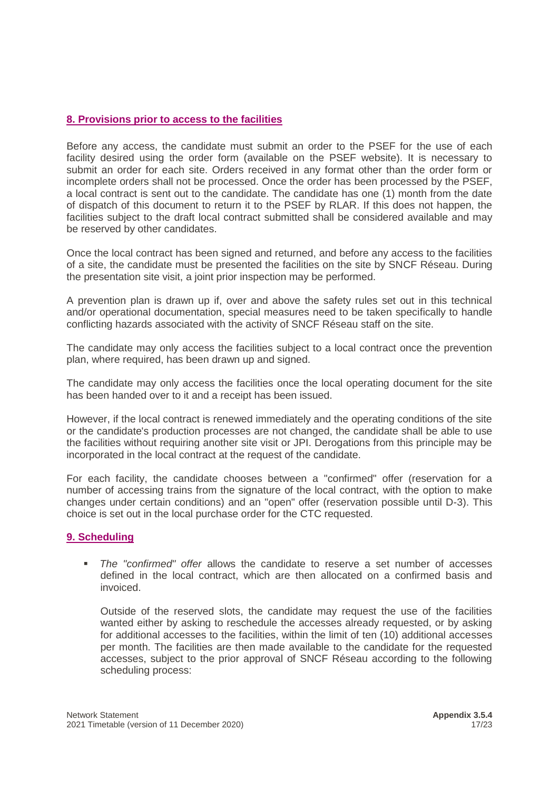### **8. Provisions prior to access to the facilities**

Before any access, the candidate must submit an order to the PSEF for the use of each facility desired using the order form (available on the PSEF website). It is necessary to submit an order for each site. Orders received in any format other than the order form or incomplete orders shall not be processed. Once the order has been processed by the PSEF, a local contract is sent out to the candidate. The candidate has one (1) month from the date of dispatch of this document to return it to the PSEF by RLAR. If this does not happen, the facilities subject to the draft local contract submitted shall be considered available and may be reserved by other candidates.

Once the local contract has been signed and returned, and before any access to the facilities of a site, the candidate must be presented the facilities on the site by SNCF Réseau. During the presentation site visit, a joint prior inspection may be performed.

A prevention plan is drawn up if, over and above the safety rules set out in this technical and/or operational documentation, special measures need to be taken specifically to handle conflicting hazards associated with the activity of SNCF Réseau staff on the site.

The candidate may only access the facilities subject to a local contract once the prevention plan, where required, has been drawn up and signed.

The candidate may only access the facilities once the local operating document for the site has been handed over to it and a receipt has been issued.

However, if the local contract is renewed immediately and the operating conditions of the site or the candidate's production processes are not changed, the candidate shall be able to use the facilities without requiring another site visit or JPI. Derogations from this principle may be incorporated in the local contract at the request of the candidate.

For each facility, the candidate chooses between a "confirmed" offer (reservation for a number of accessing trains from the signature of the local contract, with the option to make changes under certain conditions) and an "open" offer (reservation possible until D-3). This choice is set out in the local purchase order for the CTC requested.

### **9. Scheduling**

▪ *The "confirmed" offer* allows the candidate to reserve a set number of accesses defined in the local contract, which are then allocated on a confirmed basis and invoiced.

Outside of the reserved slots, the candidate may request the use of the facilities wanted either by asking to reschedule the accesses already requested, or by asking for additional accesses to the facilities, within the limit of ten (10) additional accesses per month. The facilities are then made available to the candidate for the requested accesses, subject to the prior approval of SNCF Réseau according to the following scheduling process: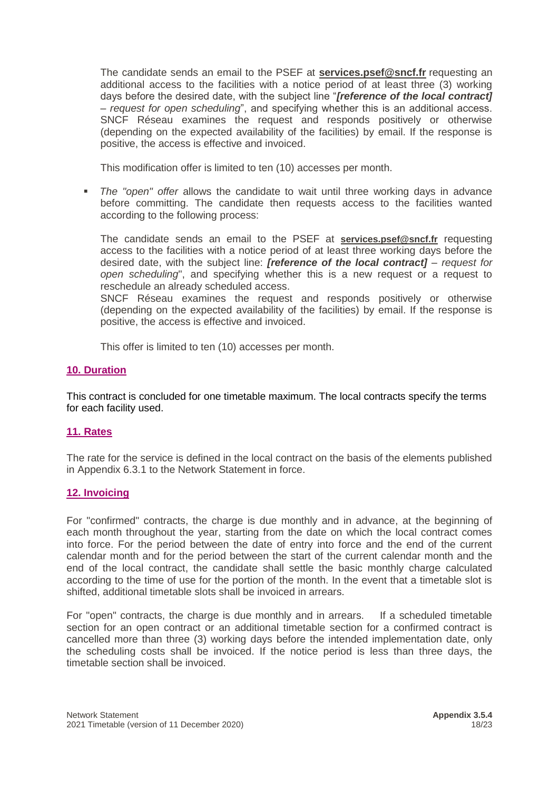The candidate sends an email to the PSEF at **[services.psef@s](mailto:services.psef@)ncf.fr** requesting an additional access to the facilities with a notice period of at least three (3) working days before the desired date, with the subject line "*[reference of the local contract] – request for open scheduling*", and specifying whether this is an additional access. SNCF Réseau examines the request and responds positively or otherwise (depending on the expected availability of the facilities) by email. If the response is positive, the access is effective and invoiced.

This modification offer is limited to ten (10) accesses per month.

▪ *The "open" offer* allows the candidate to wait until three working days in advance before committing. The candidate then requests access to the facilities wanted according to the following process:

The candidate sends an email to the PSEF at **services.psef@sncf.fr** requesting access to the facilities with a notice period of at least three working days before the desired date, with the subject line: *[reference of the local contract] – request for open scheduling*", and specifying whether this is a new request or a request to reschedule an already scheduled access.

SNCF Réseau examines the request and responds positively or otherwise (depending on the expected availability of the facilities) by email. If the response is positive, the access is effective and invoiced.

This offer is limited to ten (10) accesses per month.

### **10. Duration**

This contract is concluded for one timetable maximum. The local contracts specify the terms for each facility used.

### **11. Rates**

The rate for the service is defined in the local contract on the basis of the elements published in Appendix 6.3.1 to the Network Statement in force.

### **12. Invoicing**

For "confirmed" contracts, the charge is due monthly and in advance, at the beginning of each month throughout the year, starting from the date on which the local contract comes into force. For the period between the date of entry into force and the end of the current calendar month and for the period between the start of the current calendar month and the end of the local contract, the candidate shall settle the basic monthly charge calculated according to the time of use for the portion of the month. In the event that a timetable slot is shifted, additional timetable slots shall be invoiced in arrears.

For "open" contracts, the charge is due monthly and in arrears. If a scheduled timetable section for an open contract or an additional timetable section for a confirmed contract is cancelled more than three (3) working days before the intended implementation date, only the scheduling costs shall be invoiced. If the notice period is less than three days, the timetable section shall be invoiced.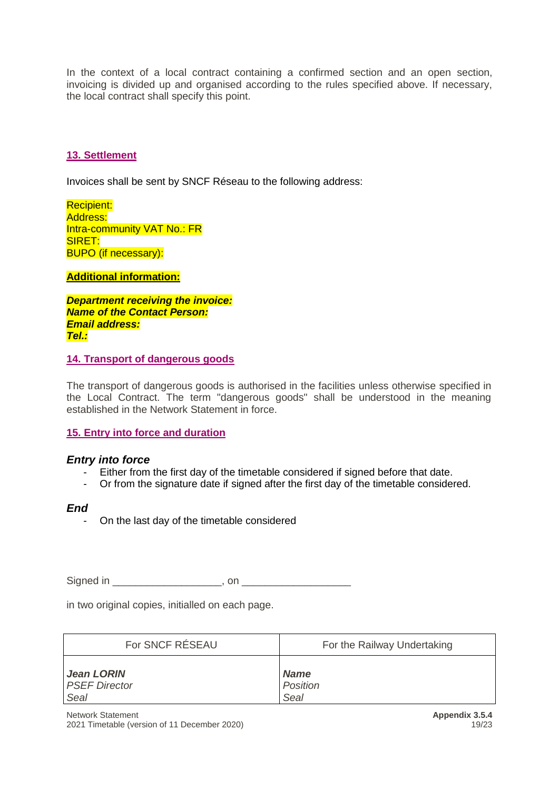In the context of a local contract containing a confirmed section and an open section, invoicing is divided up and organised according to the rules specified above. If necessary, the local contract shall specify this point.

### **13. Settlement**

Invoices shall be sent by SNCF Réseau to the following address:

Recipient: Address: Intra-community VAT No.: FR SIRET: BUPO (if necessary):

#### **Additional information:**

*Department receiving the invoice: Name of the Contact Person: Email address: Tel.:*

#### **14. Transport of dangerous goods**

The transport of dangerous goods is authorised in the facilities unless otherwise specified in the Local Contract. The term "dangerous goods" shall be understood in the meaning established in the Network Statement in force.

#### **15. Entry into force and duration**

#### *Entry into force*

- Either from the first day of the timetable considered if signed before that date.
- Or from the signature date if signed after the first day of the timetable considered.

### *End*

- On the last day of the timetable considered

Signed in Figure 2. The set of  $\sim$  0. On  $\sim$ 

in two original copies, initialled on each page.

| For SNCF RÉSEAU      | For the Railway Undertaking |
|----------------------|-----------------------------|
| <b>Jean LORIN</b>    | <b>Name</b>                 |
| <b>PSEF Director</b> | Position                    |
| Seal                 | Seal                        |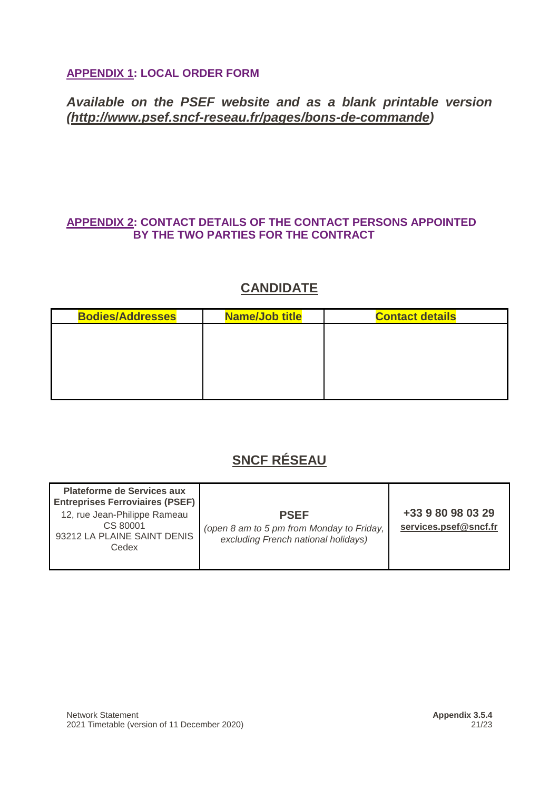### **APPENDIX 1: LOCAL ORDER FORM**

*Available on the PSEF website and as a blank printable version [\(http://www.psef.sncf-reseau.fr/pages/bons-de-commande\)](http://www.psef.sncf-reseau.fr/pages/bons-de-commande)*

### **APPENDIX 2: CONTACT DETAILS OF THE CONTACT PERSONS APPOINTED BY THE TWO PARTIES FOR THE CONTRACT**

## **CANDIDATE**

| <b>Bodies/Addresses</b> | <b>Name/Job title</b> | <b>Contact details</b> |
|-------------------------|-----------------------|------------------------|
|                         |                       |                        |
|                         |                       |                        |
|                         |                       |                        |
|                         |                       |                        |
|                         |                       |                        |

# **SNCF RÉSEAU**

| <b>Plateforme de Services aux</b><br><b>Entreprises Ferroviaires (PSEF)</b><br>12, rue Jean-Philippe Rameau<br>CS 80001<br>93212 LA PLAINE SAINT DENIS<br>Cedex | <b>PSEF</b><br>(open 8 am to 5 pm from Monday to Friday,<br>excluding French national holidays) | +33 9 80 98 03 29<br>services.psef@sncf.fr |
|-----------------------------------------------------------------------------------------------------------------------------------------------------------------|-------------------------------------------------------------------------------------------------|--------------------------------------------|
|-----------------------------------------------------------------------------------------------------------------------------------------------------------------|-------------------------------------------------------------------------------------------------|--------------------------------------------|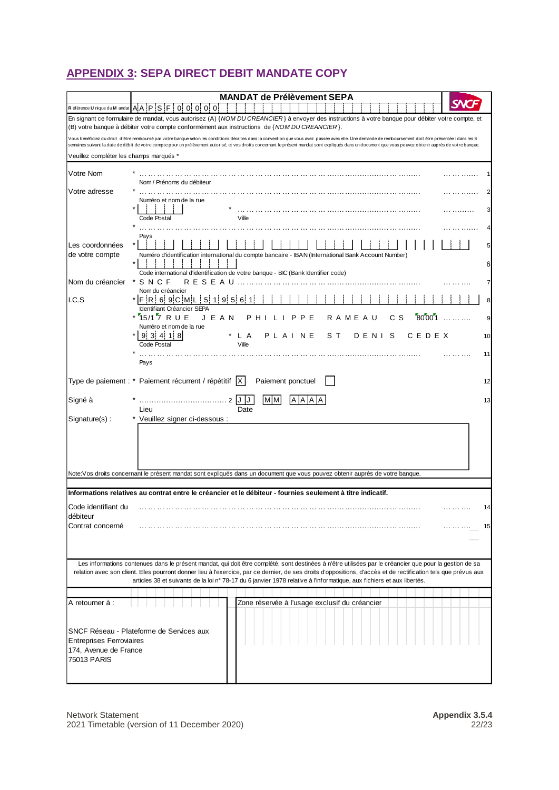## **APPENDIX 3: SEPA DIRECT DEBIT MANDATE COPY**

|                                                          | <b>MANDAT de Prélèvement SEPA</b>                                                                                                                                                                                                                                                                                                                                                                                       |
|----------------------------------------------------------|-------------------------------------------------------------------------------------------------------------------------------------------------------------------------------------------------------------------------------------------------------------------------------------------------------------------------------------------------------------------------------------------------------------------------|
| R éférence U nique du M andat                            | AAPSF000000                                                                                                                                                                                                                                                                                                                                                                                                             |
|                                                          | En signant ce formulaire de mandat, vous autorisez (A) {NOM DU CREANCIER} à envoyer des instructions à votre banque pour débiter votre compte, et<br>(B) votre banque à débiter votre compte conformément aux instructions de {NOM DU CREANCIER}.                                                                                                                                                                       |
|                                                          | Vous bénéficiez du droit d'être remboursé par votre banque selon les conditions décrites dans la convention que vous avez passée avec elle. Une demande de remboursement doit être présentée : dans les 8<br>semaines suivant la date de débit de votre compte pour un prélèvement autorisé, et vos droits concernant le présent mandat sont expliqués dans un document que vous pouvez obtenir auprès de votre banque. |
| Veuillez compléter les champs marqués *                  |                                                                                                                                                                                                                                                                                                                                                                                                                         |
| Votre Nom                                                | Nom / Prénoms du débiteur                                                                                                                                                                                                                                                                                                                                                                                               |
| Votre adresse                                            |                                                                                                                                                                                                                                                                                                                                                                                                                         |
|                                                          | Numéro et nom de la rue<br>Code Postal<br>Ville                                                                                                                                                                                                                                                                                                                                                                         |
|                                                          | Pays                                                                                                                                                                                                                                                                                                                                                                                                                    |
| Les coordonnées<br>de votre compte                       | Numéro d'identification international du compte bancaire - IBAN (International Bank Account Number)                                                                                                                                                                                                                                                                                                                     |
| Nom du créancier                                         | 6<br>Code international d'identification de votre banque - BIC (Bank Identifier code)<br>$*$ SNCF<br>R E S E A U                                                                                                                                                                                                                                                                                                        |
| LC.S                                                     | Nom du créancier<br>* IF IR I 6 I 9 IC IM IL<br>511956<br>$\mathbf{1}$<br>8                                                                                                                                                                                                                                                                                                                                             |
|                                                          | Identifiant Créancier SEPA<br>* 15/17 RUE<br>80001<br>J E A N<br>C S<br>P H I L I P P E<br>R A M E A U<br>9                                                                                                                                                                                                                                                                                                             |
|                                                          | Numéro et nom de la rue<br>PLAINE<br>S T<br>DENIS<br>L A<br>CEDEX                                                                                                                                                                                                                                                                                                                                                       |
|                                                          | 10<br>Code Postal<br>Ville                                                                                                                                                                                                                                                                                                                                                                                              |
|                                                          | 11<br>Pays                                                                                                                                                                                                                                                                                                                                                                                                              |
|                                                          | Type de paiement : * Paiement récurrent / répétitif  X <br>Paiement ponctuel<br>12                                                                                                                                                                                                                                                                                                                                      |
| Signé à                                                  | M M<br>2 IJ<br>AAAAA<br>13<br>Lieu<br>Date                                                                                                                                                                                                                                                                                                                                                                              |
| Signature(s):                                            | * Veuillez signer ci-dessous :                                                                                                                                                                                                                                                                                                                                                                                          |
|                                                          |                                                                                                                                                                                                                                                                                                                                                                                                                         |
|                                                          |                                                                                                                                                                                                                                                                                                                                                                                                                         |
|                                                          | Note: Vos droits concernant le présent mandat sont expliqués dans un document que vous pouvez obtenir auprès de votre banque.                                                                                                                                                                                                                                                                                           |
|                                                          | Informations relatives au contrat entre le créancier et le débiteur - fournies seulement à titre indicatif.                                                                                                                                                                                                                                                                                                             |
| Code identifiant du<br>débiteur                          |                                                                                                                                                                                                                                                                                                                                                                                                                         |
| Contrat concerné                                         | 15                                                                                                                                                                                                                                                                                                                                                                                                                      |
|                                                          |                                                                                                                                                                                                                                                                                                                                                                                                                         |
|                                                          | Les informations contenues dans le présent mandat, qui doit être complété, sont destinées à n'être utilisées par le créancier que pour la gestion de sa                                                                                                                                                                                                                                                                 |
|                                                          | relation avec son client. Elles pourront donner lieu à l'exercice, par ce dernier, de ses droits d'oppositions, d'accès et de rectification tels que prévus aux<br>articles 38 et suivants de la loi n° 78-17 du 6 janvier 1978 relative à l'informatique, aux fichiers et aux libertés.                                                                                                                                |
| A retourner à :                                          | Zone réservée à l'usage exclusif du créancier                                                                                                                                                                                                                                                                                                                                                                           |
|                                                          |                                                                                                                                                                                                                                                                                                                                                                                                                         |
|                                                          | SNCF Réseau - Plateforme de Services aux                                                                                                                                                                                                                                                                                                                                                                                |
| <b>Entreprises Ferroviaires</b><br>174, Avenue de France |                                                                                                                                                                                                                                                                                                                                                                                                                         |
| 75013 PARIS                                              |                                                                                                                                                                                                                                                                                                                                                                                                                         |
|                                                          |                                                                                                                                                                                                                                                                                                                                                                                                                         |